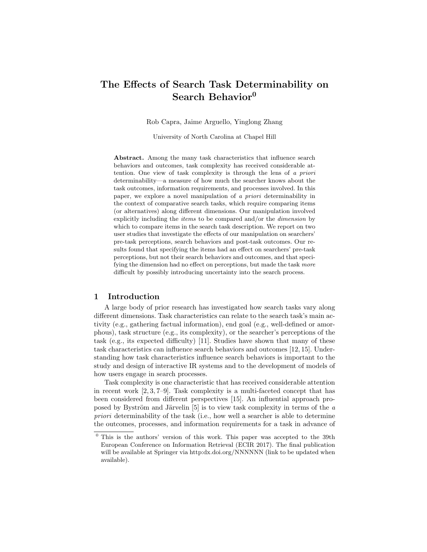# The Effects of Search Task Determinability on Search Behavior<sup>0</sup>

Rob Capra, Jaime Arguello, Yinglong Zhang

University of North Carolina at Chapel Hill

Abstract. Among the many task characteristics that influence search behaviors and outcomes, task complexity has received considerable attention. One view of task complexity is through the lens of a priori determinability—a measure of how much the searcher knows about the task outcomes, information requirements, and processes involved. In this paper, we explore a novel manipulation of a priori determinability in the context of comparative search tasks, which require comparing items (or alternatives) along different dimensions. Our manipulation involved explicitly including the *items* to be compared and/or the *dimension* by which to compare items in the search task description. We report on two user studies that investigate the effects of our manipulation on searchers' pre-task perceptions, search behaviors and post-task outcomes. Our results found that specifying the items had an effect on searchers' pre-task perceptions, but not their search behaviors and outcomes, and that specifying the dimension had no effect on perceptions, but made the task more difficult by possibly introducing uncertainty into the search process.

# 1 Introduction

A large body of prior research has investigated how search tasks vary along different dimensions. Task characteristics can relate to the search task's main activity (e.g., gathering factual information), end goal (e.g., well-defined or amorphous), task structure (e.g., its complexity), or the searcher's perceptions of the task (e.g., its expected difficulty) [11]. Studies have shown that many of these task characteristics can influence search behaviors and outcomes [12, 15]. Understanding how task characteristics influence search behaviors is important to the study and design of interactive IR systems and to the development of models of how users engage in search processes.

Task complexity is one characteristic that has received considerable attention in recent work [2, 3, 7–9]. Task complexity is a multi-faceted concept that has been considered from different perspectives [15]. An influential approach proposed by Byström and Järvelin [5] is to view task complexity in terms of the  $a$ priori determinability of the task (i.e., how well a searcher is able to determine the outcomes, processes, and information requirements for a task in advance of

 $0$  This is the authors' version of this work. This paper was accepted to the 39th European Conference on Information Retrieval (ECIR 2017). The final publication will be available at Springer via http:dx.doi.org/NNNNNN (link to be updated when available).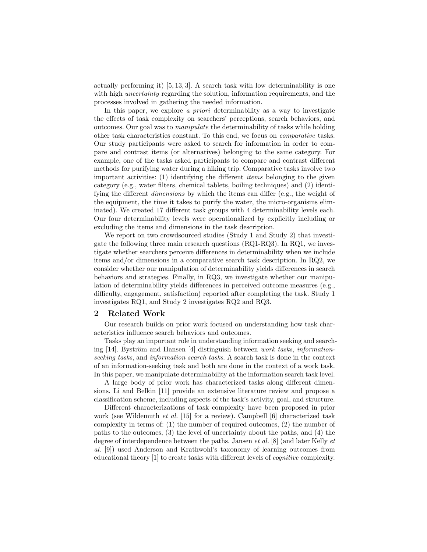actually performing it) [5, 13, 3]. A search task with low determinability is one with high *uncertainty* regarding the solution, information requirements, and the processes involved in gathering the needed information.

In this paper, we explore a *priori* determinability as a way to investigate the effects of task complexity on searchers' perceptions, search behaviors, and outcomes. Our goal was to manipulate the determinability of tasks while holding other task characteristics constant. To this end, we focus on comparative tasks. Our study participants were asked to search for information in order to compare and contrast items (or alternatives) belonging to the same category. For example, one of the tasks asked participants to compare and contrast different methods for purifying water during a hiking trip. Comparative tasks involve two important activities: (1) identifying the different items belonging to the given category (e.g., water filters, chemical tablets, boiling techniques) and (2) identifying the different dimensions by which the items can differ (e.g., the weight of the equipment, the time it takes to purify the water, the micro-organisms eliminated). We created 17 different task groups with 4 determinability levels each. Our four determinability levels were operationalized by explicitly including or excluding the items and dimensions in the task description.

We report on two crowdsourced studies (Study 1 and Study 2) that investigate the following three main research questions (RQ1-RQ3). In RQ1, we investigate whether searchers perceive differences in determinability when we include items and/or dimensions in a comparative search task description. In RQ2, we consider whether our manipulation of determinability yields differences in search behaviors and strategies. Finally, in RQ3, we investigate whether our manipulation of determinability yields differences in perceived outcome measures (e.g., difficulty, engagement, satisfaction) reported after completing the task. Study 1 investigates RQ1, and Study 2 investigates RQ2 and RQ3.

## 2 Related Work

Our research builds on prior work focused on understanding how task characteristics influence search behaviors and outcomes.

Tasks play an important role in understanding information seeking and searching  $[14]$ . Byström and Hansen  $[4]$  distinguish between work tasks, informationseeking tasks, and information search tasks. A search task is done in the context of an information-seeking task and both are done in the context of a work task. In this paper, we manipulate determinability at the information search task level.

A large body of prior work has characterized tasks along different dimensions. Li and Belkin [11] provide an extensive literature review and propose a classification scheme, including aspects of the task's activity, goal, and structure.

Different characterizations of task complexity have been proposed in prior work (see Wildemuth et al. [15] for a review). Campbell [6] characterized task complexity in terms of: (1) the number of required outcomes, (2) the number of paths to the outcomes, (3) the level of uncertainty about the paths, and (4) the degree of interdependence between the paths. Jansen et al. [8] (and later Kelly et al. [9]) used Anderson and Krathwohl's taxonomy of learning outcomes from educational theory [1] to create tasks with different levels of cognitive complexity.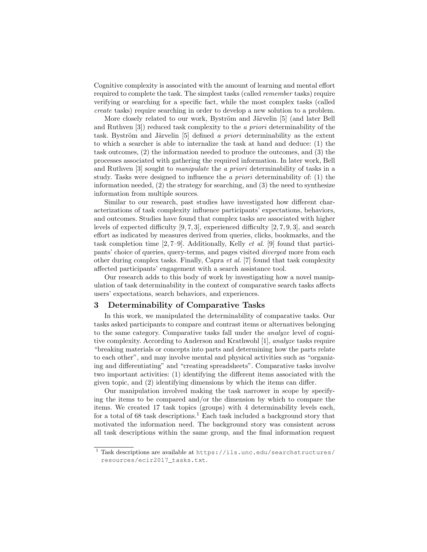Cognitive complexity is associated with the amount of learning and mental effort required to complete the task. The simplest tasks (called remember tasks) require verifying or searching for a specific fact, while the most complex tasks (called create tasks) require searching in order to develop a new solution to a problem.

More closely related to our work, Byström and Järvelin [5] (and later Bell and Ruthven [3]) reduced task complexity to the a priori determinability of the task. Byström and Järvelin  $[5]$  defined a priori determinability as the extent to which a searcher is able to internalize the task at hand and deduce: (1) the task outcomes, (2) the information needed to produce the outcomes, and (3) the processes associated with gathering the required information. In later work, Bell and Ruthven [3] sought to manipulate the a priori determinability of tasks in a study. Tasks were designed to influence the *a priori* determinability of:  $(1)$  the information needed,  $(2)$  the strategy for searching, and  $(3)$  the need to synthesize information from multiple sources.

Similar to our research, past studies have investigated how different characterizations of task complexity influence participants' expectations, behaviors, and outcomes. Studies have found that complex tasks are associated with higher levels of expected difficulty [9, 7, 3], experienced difficulty [2, 7, 9, 3], and search effort as indicated by measures derived from queries, clicks, bookmarks, and the task completion time  $[2, 7-9]$ . Additionally, Kelly *et al.* [9] found that participants' choice of queries, query-terms, and pages visited diverged more from each other during complex tasks. Finally, Capra et al. [7] found that task complexity affected participants' engagement with a search assistance tool.

Our research adds to this body of work by investigating how a novel manipulation of task determinability in the context of comparative search tasks affects users' expectations, search behaviors, and experiences.

# 3 Determinability of Comparative Tasks

In this work, we manipulated the determinability of comparative tasks. Our tasks asked participants to compare and contrast items or alternatives belonging to the same category. Comparative tasks fall under the analyze level of cognitive complexity. According to Anderson and Krathwohl [1], analyze tasks require "breaking materials or concepts into parts and determining how the parts relate to each other", and may involve mental and physical activities such as "organizing and differentiating" and "creating spreadsheets". Comparative tasks involve two important activities: (1) identifying the different items associated with the given topic, and (2) identifying dimensions by which the items can differ.

Our manipulation involved making the task narrower in scope by specifying the items to be compared and/or the dimension by which to compare the items. We created 17 task topics (groups) with 4 determinability levels each, for a total of 68 task descriptions.<sup>1</sup> Each task included a background story that motivated the information need. The background story was consistent across all task descriptions within the same group, and the final information request

<sup>1</sup> Task descriptions are available at https://ils.unc.edu/searchstructures/ resources/ecir2017\_tasks.txt.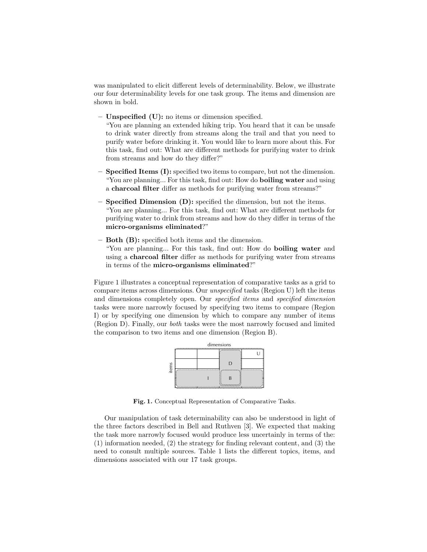was manipulated to elicit different levels of determinability. Below, we illustrate our four determinability levels for one task group. The items and dimension are shown in bold.

Unspecified (U): no items or dimension specified.

"You are planning an extended hiking trip. You heard that it can be unsafe to drink water directly from streams along the trail and that you need to purify water before drinking it. You would like to learn more about this. For this task, find out: What are different methods for purifying water to drink from streams and how do they differ?"

- Specified Items (I): specified two items to compare, but not the dimension. "You are planning... For this task, find out: How do **boiling water** and using a charcoal filter differ as methods for purifying water from streams?"
- $-$  Specified Dimension (D): specified the dimension, but not the items. "You are planning... For this task, find out: What are different methods for purifying water to drink from streams and how do they differ in terms of the micro-organisms eliminated?"
- Both (B): specified both items and the dimension. "You are planning... For this task, find out: How do boiling water and using a charcoal filter differ as methods for purifying water from streams in terms of the micro-organisms eliminated?"

Figure 1 illustrates a conceptual representation of comparative tasks as a grid to compare items across dimensions. Our unspecified tasks (Region U) left the items and dimensions completely open. Our specified items and specified dimension tasks were more narrowly focused by specifying two items to compare (Region I) or by specifying one dimension by which to compare any number of items (Region D). Finally, our both tasks were the most narrowly focused and limited the comparison to two items and one dimension (Region B).



Fig. 1. Conceptual Representation of Comparative Tasks.

Our manipulation of task determinability can also be understood in light of the three factors described in Bell and Ruthven [3]. We expected that making the task more narrowly focused would produce less uncertainly in terms of the: (1) information needed, (2) the strategy for finding relevant content, and (3) the need to consult multiple sources. Table 1 lists the different topics, items, and dimensions associated with our 17 task groups.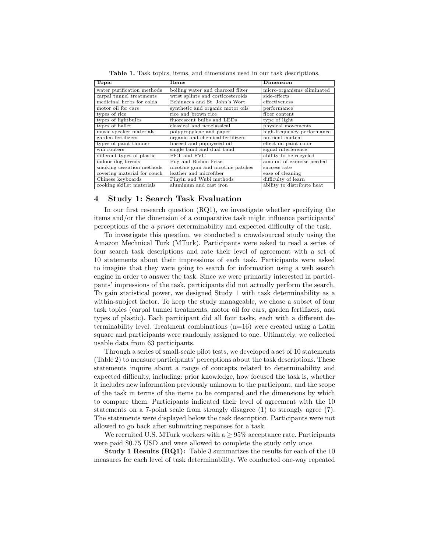| <b>Topic</b>                | Items                             | Dimension                  |
|-----------------------------|-----------------------------------|----------------------------|
| water purification methods  | boiling water and charcoal filter | micro-organisms eliminated |
| carpal tunnel treatments    | wrist splints and corticosteroids | side-effects               |
| medicinal herbs for colds   | Echinacea and St. John's Wort     | effectiveness              |
| motor oil for cars          | synthetic and organic motor oils  | performance                |
| types of rice               | rice and brown rice               | fiber content              |
| types of lightbulbs         | fluorescent bulbs and LEDs        | type of light              |
| types of ballet             | classical and neoclassical        | physical movements         |
| music speaker materials     | polypropylene and paper           | high-frequency performance |
| garden fertilizers          | organic and chemical fertilizers  | nutrient content           |
| types of paint thinner      | linseed and poppyseed oil         | effect on paint color      |
| wifi routers                | single band and dual band         | signal interference        |
| different types of plastic  | PET and PVC                       | ability to be recycled     |
| indoor dog breeds           | Pug and Bichon Frise              | amount of exercise needed  |
| smoking cessation methods   | nicotine gum and nicotine patches | success rate               |
| covering material for couch | leather and microfiber            | ease of cleaning           |
| Chinese keyboards           | Pinyin and Wubi methods           | difficulty of learn        |
| cooking skillet materials   | aluminum and cast iron            | ability to distribute heat |

Table 1. Task topics, items, and dimensions used in our task descriptions.

# 4 Study 1: Search Task Evaluation

In our first research question (RQ1), we investigate whether specifying the items and/or the dimension of a comparative task might influence participants' perceptions of the a priori determinability and expected difficulty of the task.

To investigate this question, we conducted a crowdsourced study using the Amazon Mechnical Turk (MTurk). Participants were asked to read a series of four search task descriptions and rate their level of agreement with a set of 10 statements about their impressions of each task. Participants were asked to imagine that they were going to search for information using a web search engine in order to answer the task. Since we were primarily interested in participants' impressions of the task, participants did not actually perform the search. To gain statistical power, we designed Study 1 with task determinability as a within-subject factor. To keep the study manageable, we chose a subset of four task topics (carpal tunnel treatments, motor oil for cars, garden fertilizers, and types of plastic). Each participant did all four tasks, each with a different determinability level. Treatment combinations  $(n=16)$  were created using a Latin square and participants were randomly assigned to one. Ultimately, we collected usable data from 63 participants.

Through a series of small-scale pilot tests, we developed a set of 10 statements (Table 2) to measure participants' perceptions about the task descriptions. These statements inquire about a range of concepts related to determinability and expected difficulty, including: prior knowledge, how focused the task is, whether it includes new information previously unknown to the participant, and the scope of the task in terms of the items to be compared and the dimensions by which to compare them. Participants indicated their level of agreement with the 10 statements on a 7-point scale from strongly disagree (1) to strongly agree (7). The statements were displayed below the task description. Participants were not allowed to go back after submitting responses for a task.

We recruited U.S. MTurk workers with  $a \geq 95\%$  acceptance rate. Participants were paid \$0.75 USD and were allowed to complete the study only once.

Study 1 Results (RQ1): Table 3 summarizes the results for each of the 10 measures for each level of task determinability. We conducted one-way repeated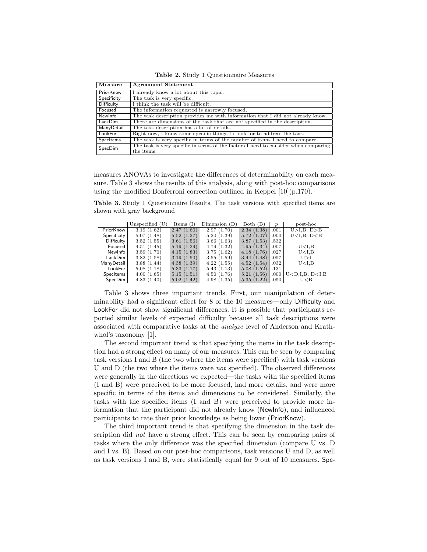Table 2. Study 1 Questionnaire Measures

| Measure           | <b>Agreement Statement</b>                                                          |
|-------------------|-------------------------------------------------------------------------------------|
| PriorKnow         | I already know a lot about this topic.                                              |
| Specificity       | The task is very specific.                                                          |
| <b>Difficulty</b> | I think the task will be difficult.                                                 |
| Focused           | The information requested is narrowly focused.                                      |
| NewInfo           | The task description provides me with information that I did not already know.      |
| LackDim           | There are dimensions of the task that are not specified in the description.         |
| ManyDetail        | The task description has a lot of details.                                          |
| LookFor           | Right now, I know some specific things to look for to address the task.             |
| <b>SpecItems</b>  | The task is very specific in terms of the number of items I need to compare.        |
| SpecDim           | The task is very specific in terms of the factors I need to consider when comparing |
|                   | the items.                                                                          |

measures ANOVAs to investigate the differences of determinability on each measure. Table 3 shows the results of this analysis, along with post-hoc comparisons using the modified Bonferroni correction outlined in Keppel [10](p.170).

Table 3. Study 1 Questionnaire Results. The task versions with specified items are shown with gray background

|                   | Unspecified $(U)$ | Items $(I)$ | Dimension $(D)$ | Both $(B)$ | $\boldsymbol{p}$  | post-hoc                   |
|-------------------|-------------------|-------------|-----------------|------------|-------------------|----------------------------|
| PriorKnow         | 3.19(1.62)        | 2.47(1.60)  | 2.97(1.70)      | 2.34(1.38) | .001              | $U>I,B$ : $D>B$            |
| Specificity       | 5.07(1.48)        | 5.52(1.27)  | 5.20(1.39)      | 5.72(1.07) | .000.             | $U\langle I,B; D\langle B$ |
| <b>Difficulty</b> | 3.52(1.55)        | 3.61(1.56)  | 3.66(1.63)      | 3.87(1.53) | .532              |                            |
| Focused           | 4.51(1.45)        | 5.19(1.29)  | 4.79(1.32)      | 4.95(1.34) | .007              | $U\text{<}I,B$             |
| NewInfo           | 3.59(1.70)        | 4.15(1.83)  | 3.75(1.62)      | 4.18(1.76) | .027              | $U\leq I,B$                |
| LackDim           | 3.82(1.58)        | 3.19(1.50)  | 3.55(1.59)      | 3.44(1.48) | .057              | U > I                      |
| ManyDetail        | 3.88(1.44)        | 4.38(1.39)  | 4.22(1.55)      | 4.52(1.54) | .032              | $U\leq I,B$                |
| LookFor I         | 5.08(1.18)        | 5.33(1.17)  | 5.43(1.13)      | 5.08(1.52) | .131              |                            |
| SpecItems         | 4.00(1.65)        | 5.15(1.51)  | 4.50(1.76)      | 5.21(1.56) | .000 <sub>1</sub> | $U < D,I,B$ ; $D < I,B$    |
| SpecDim           | 4.83(1.40)        | 5.02(1.42)  | 4.98(1.35)      | 5.35(1.22) | .050              | $U$ $\!<$ $B$              |

Table 3 shows three important trends. First, our manipulation of determinability had a significant effect for 8 of the 10 measures—only Difficulty and LookFor did not show significant differences. It is possible that participants reported similar levels of expected difficulty because all task descriptions were associated with comparative tasks at the analyze level of Anderson and Krathwhol's taxonomy [1].

The second important trend is that specifying the items in the task description had a strong effect on many of our measures. This can be seen by comparing task versions I and B (the two where the items were specified) with task versions U and D (the two where the items were *not* specified). The observed differences were generally in the directions we expected—the tasks with the specified items (I and B) were perceived to be more focused, had more details, and were more specific in terms of the items and dimensions to be considered. Similarly, the tasks with the specified items (I and B) were perceived to provide more information that the participant did not already know (NewInfo), and influenced participants to rate their prior knowledge as being lower (PriorKnow).

The third important trend is that specifying the dimension in the task description did not have a strong effect. This can be seen by comparing pairs of tasks where the only difference was the specified dimension (compare U vs. D and I vs. B). Based on our post-hoc comparisons, task versions U and D, as well as task versions I and B, were statistically equal for 9 out of 10 measures. Spe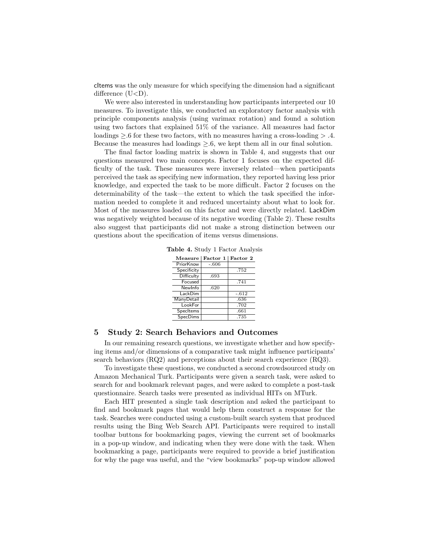cItems was the only measure for which specifying the dimension had a significant difference (U<D).

We were also interested in understanding how participants interpreted our 10 measures. To investigate this, we conducted an exploratory factor analysis with principle components analysis (using varimax rotation) and found a solution using two factors that explained 51% of the variance. All measures had factor loadings  $\geq 0.6$  for these two factors, with no measures having a cross-loading  $\geq 0.4$ . Because the measures had loadings  $\geq 6$ , we kept them all in our final solution.

The final factor loading matrix is shown in Table 4, and suggests that our questions measured two main concepts. Factor 1 focuses on the expected difficulty of the task. These measures were inversely related—when participants perceived the task as specifying new information, they reported having less prior knowledge, and expected the task to be more difficult. Factor 2 focuses on the determinability of the task—the extent to which the task specified the information needed to complete it and reduced uncertainty about what to look for. Most of the measures loaded on this factor and were directly related. LackDim was negatively weighted because of its negative wording (Table 2). These results also suggest that participants did not make a strong distinction between our questions about the specification of items versus dimensions.

Table 4. Study 1 Factor Analysis

| Measure           | Factor 1 | Factor 2 |
|-------------------|----------|----------|
| PriorKnow         | $-.606$  |          |
| Specificity       |          | .752     |
| <b>Difficulty</b> | .693     |          |
| Focused           |          | .741     |
| NewInfo           | .620     |          |
| LackDim           |          | $-.612$  |
| ManyDetail        |          | .636     |
| LookFor           |          | .702     |
| SpecItems         |          | .661     |
| <b>SpecDims</b>   |          | .735     |

### 5 Study 2: Search Behaviors and Outcomes

In our remaining research questions, we investigate whether and how specifying items and/or dimensions of a comparative task might influence participants' search behaviors (RQ2) and perceptions about their search experience (RQ3).

To investigate these questions, we conducted a second crowdsourced study on Amazon Mechanical Turk. Participants were given a search task, were asked to search for and bookmark relevant pages, and were asked to complete a post-task questionnaire. Search tasks were presented as individual HITs on MTurk.

Each HIT presented a single task description and asked the participant to find and bookmark pages that would help them construct a response for the task. Searches were conducted using a custom-built search system that produced results using the Bing Web Search API. Participants were required to install toolbar buttons for bookmarking pages, viewing the current set of bookmarks in a pop-up window, and indicating when they were done with the task. When bookmarking a page, participants were required to provide a brief justification for why the page was useful, and the "view bookmarks" pop-up window allowed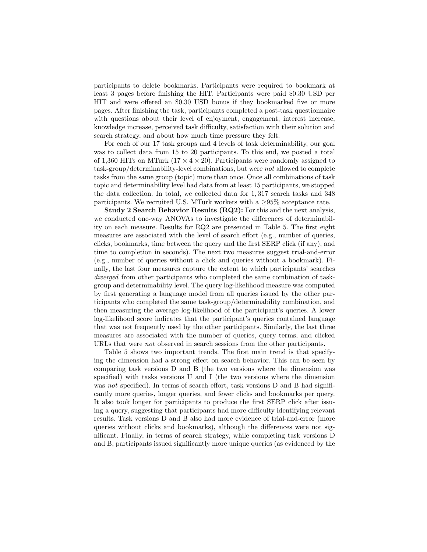participants to delete bookmarks. Participants were required to bookmark at least 3 pages before finishing the HIT. Participants were paid \$0.30 USD per HIT and were offered an \$0.30 USD bonus if they bookmarked five or more pages. After finishing the task, participants completed a post-task questionnaire with questions about their level of enjoyment, engagement, interest increase, knowledge increase, perceived task difficulty, satisfaction with their solution and search strategy, and about how much time pressure they felt.

For each of our 17 task groups and 4 levels of task determinability, our goal was to collect data from 15 to 20 participants. To this end, we posted a total of 1,360 HITs on MTurk  $(17 \times 4 \times 20)$ . Participants were randomly assigned to task-group/determinability-level combinations, but were not allowed to complete tasks from the same group (topic) more than once. Once all combinations of task topic and determinability level had data from at least 15 participants, we stopped the data collection. In total, we collected data for 1, 317 search tasks and 348 participants. We recruited U.S. MTurk workers with a ≥95% acceptance rate.

Study 2 Search Behavior Results (RQ2): For this and the next analysis, we conducted one-way ANOVAs to investigate the differences of determinability on each measure. Results for RQ2 are presented in Table 5. The first eight measures are associated with the level of search effort (e.g., number of queries, clicks, bookmarks, time between the query and the first SERP click (if any), and time to completion in seconds). The next two measures suggest trial-and-error (e.g., number of queries without a click and queries without a bookmark). Finally, the last four measures capture the extent to which participants' searches diverged from other participants who completed the same combination of taskgroup and determinability level. The query log-likelihood measure was computed by first generating a language model from all queries issued by the other participants who completed the same task-group/determinability combination, and then measuring the average log-likelihood of the participant's queries. A lower log-likelihood score indicates that the participant's queries contained language that was not frequently used by the other participants. Similarly, the last three measures are associated with the number of queries, query terms, and clicked URLs that were *not* observed in search sessions from the other participants.

Table 5 shows two important trends. The first main trend is that specifying the dimension had a strong effect on search behavior. This can be seen by comparing task versions D and B (the two versions where the dimension was specified) with tasks versions U and I (the two versions where the dimension was not specified). In terms of search effort, task versions D and B had significantly more queries, longer queries, and fewer clicks and bookmarks per query. It also took longer for participants to produce the first SERP click after issuing a query, suggesting that participants had more difficulty identifying relevant results. Task versions D and B also had more evidence of trial-and-error (more queries without clicks and bookmarks), although the differences were not significant. Finally, in terms of search strategy, while completing task versions D and B, participants issued significantly more unique queries (as evidenced by the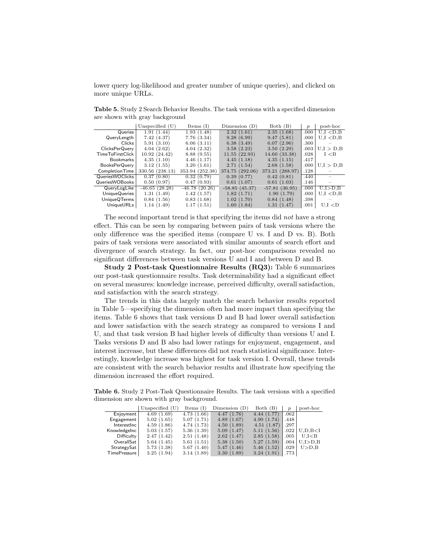lower query log-likelihood and greater number of unique queries), and clicked on more unique URLs.

Table 5. Study 2 Search Behavior Results. The task versions with a specified dimension are shown with gray background

|                         | Unspecified $(U)$ | Items $(I)$     | Dimension $(D)$ | Both(B)         | $\boldsymbol{p}$ | post-hoc  |
|-------------------------|-------------------|-----------------|-----------------|-----------------|------------------|-----------|
| Queries                 | 1.91(1.44)        | 1.93(1.48)      | 2.32(1.61)      | 2.35(1.68)      | .000             | U,I < D,B |
| QueryLength             | 7.42(4.37)        | 7.76(3.34)      | 9.28(6.99)      | 9.47(5.81)      | .000             | U,I < D.B |
| Clicks                  | 5.91(3.10)        | 6.06(3.11)      | 6.38(3.49)      | 6.07(2.96)      | .300             |           |
| <b>ClicksPerQuery</b>   | 4.04(2.62)        | 4.04(2.32)      | 3.58(2.23)      | 3.50(2.29)      | .003             | U.I > D.B |
| <b>TimeToFirstClick</b> | 10.92(24.42)      | 8.88 (9.55)     | 11.55(22.93)    | 14.60 (33.38)   | .028             | I < B     |
| Bookmarks               | 4.35(1.10)        | 4.46(1.17)      | 4.45(1.18)      | 4.35(1.15)      | .417             |           |
| <b>BooksPerQuery</b>    | 3.12(1.55)        | 3.20(1.61)      | 2.71(1.54)      | 2.68<br>(1.58)  | .000             | U.I > D.B |
| CompletionTime          | 330.56 (238.13)   | 353.94 (252.38) | 374.75 (292.06) | 373.21 (288.97) | .128             |           |
| QueriesWOClicks         | 0.37(0.80)        | 0.32(0.79)      | 0.39(0.77)      | 0.42(0.81)      | .440             |           |
| QueriesWOBooks          | 0.50(0.97)        | 0.47(0.93)      | 0.61(1.07)      | (1.03)<br>0.61  | .146             |           |
| QueryLogLike            | $-46.65(28.28)$   | $-46.78(20.26)$ | $-58.85(45.37)$ | $-57.81(36.95)$ | .000             | U.I> D.B  |
| <b>UniqueQueries</b>    | 1.31(1.49)        | 1.42(1.57)      | 1.82(1.71)      | 1.90(1.79)      | .000             | U,I < D,B |
| <b>UniqueQTerms</b>     | 0.84(1.56)        | 0.83(1.68)      | 1.02(1.70)      | 0.84(1.48)      | .398             |           |
| UniqueURLs              | 1.14(1.49)        | 1.17(1.51)      | 1.60(1.84)      | 1.31(1.47)      | .001             | U.I < D   |

The second important trend is that specifying the items did not have a strong effect. This can be seen by comparing between pairs of task versions where the only difference was the specified items (compare U vs. I and D vs. B). Both pairs of task versions were associated with similar amounts of search effort and divergence of search strategy. In fact, our post-hoc comparisons revealed no significant differences between task versions U and I and between D and B.

Study 2 Post-task Questionnaire Results (RQ3): Table 6 summarizes our post-task questionnaire results. Task determinability had a significant effect on several measures: knowledge increase, perceived difficulty, overall satisfaction, and satisfaction with the search strategy.

The trends in this data largely match the search behavior results reported in Table 5—specifying the dimension often had more impact than specifying the items. Table 6 shows that task versions D and B had lower overall satisfaction and lower satisfaction with the search strategy as compared to versions I and U, and that task version B had higher levels of difficulty than versions U and I. Tasks versions D and B also had lower ratings for enjoyment, engagement, and interest increase, but these differences did not reach statistical significance. Interestingly, knowledge increase was highest for task version I. Overall, these trends are consistent with the search behavior results and illustrate how specifying the dimension increased the effort required.

Table 6. Study 2 Post-Task Questionnaire Results. The task versions with a specified dimension are shown with gray background.

|                     | Unspecified $(U)$ | Items $(I)$ | Dimension $(D)$ | Both $(B)$ | $\boldsymbol{v}$  | post-hoc  |
|---------------------|-------------------|-------------|-----------------|------------|-------------------|-----------|
| Enjoyment           | 4.69(1.69)        | 4.73(1.66)  | 4.47(1.76)      | 4.44(1.77) | .062              |           |
| Engagement          | 5.02(1.65)        | 5.07(1.71)  | 4.89(1.67)      | 4.90(1.74) | .448              |           |
| InterestInc         | 4.59(1.86)        | 4.74(1.73)  | 4.50(1.89)      | 4.51(1.87) | .297              |           |
| Knowledgelnc        | 5.03(1.57)        | 5.36(1.39)  | 5.09(1.47)      | 5.11(1.56) | .022              | U.D.B < I |
| Difficulty          | 2.47(1.42)        | 2.51(1.48)  | 2.62(1.47)      | 2.85(1.58) | .005              | U.I < B   |
| OverallSat          | 5.64(1.45)        | 5.61(1.51)  | 5.38(1.50)      | 5.27(1.59) | .004              | U.I> D.B  |
| StrategySat         | 5.73(1.38)        | 5.67(1.40)  | 5.47(1.46)      | 5.46(1.52) | .029              | U> D.B    |
| <b>TimePressure</b> | 3.25(1.94)        | 3.14(1.89)  | 3.30(1.89)      | 3.24(1.91) | $.773$ $^{\circ}$ |           |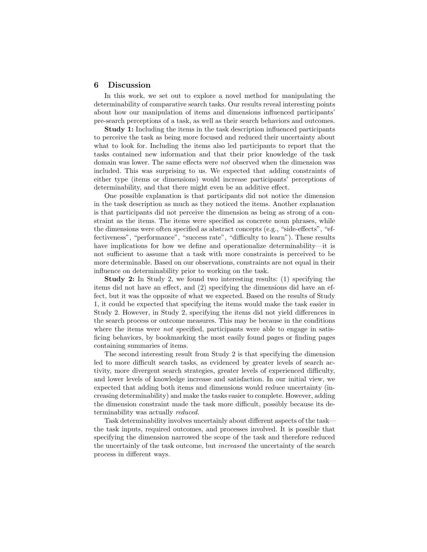# 6 Discussion

In this work, we set out to explore a novel method for manipulating the determinability of comparative search tasks. Our results reveal interesting points about how our manipulation of items and dimensions influenced participants' pre-search perceptions of a task, as well as their search behaviors and outcomes.

Study 1: Including the items in the task description influenced participants to perceive the task as being more focused and reduced their uncertainty about what to look for. Including the items also led participants to report that the tasks contained new information and that their prior knowledge of the task domain was lower. The same effects were not observed when the dimension was included. This was surprising to us. We expected that adding constraints of either type (items or dimensions) would increase participants' perceptions of determinability, and that there might even be an additive effect.

One possible explanation is that participants did not notice the dimension in the task description as much as they noticed the items. Another explanation is that participants did not perceive the dimension as being as strong of a constraint as the items. The items were specified as concrete noun phrases, while the dimensions were often specified as abstract concepts (e.g., "side-effects", "effectiveness", "performance", "success rate", "difficulty to learn"). These results have implications for how we define and operationalize determinability—it is not sufficient to assume that a task with more constraints is perceived to be more determinable. Based on our observations, constraints are not equal in their influence on determinability prior to working on the task.

Study 2: In Study 2, we found two interesting results: (1) specifying the items did not have an effect, and (2) specifying the dimensions did have an effect, but it was the opposite of what we expected. Based on the results of Study 1, it could be expected that specifying the items would make the task easier in Study 2. However, in Study 2, specifying the items did not yield differences in the search process or outcome measures. This may be because in the conditions where the items were *not* specified, participants were able to engage in satisficing behaviors, by bookmarking the most easily found pages or finding pages containing summaries of items.

The second interesting result from Study 2 is that specifying the dimension led to more difficult search tasks, as evidenced by greater levels of search activity, more divergent search strategies, greater levels of experienced difficulty, and lower levels of knowledge increase and satisfaction. In our initial view, we expected that adding both items and dimensions would reduce uncertainty (increasing determinability) and make the tasks easier to complete. However, adding the dimension constraint made the task more difficult, possibly because its determinability was actually reduced.

Task determinability involves uncertainly about different aspects of the task the task inputs, required outcomes, and processes involved. It is possible that specifying the dimension narrowed the scope of the task and therefore reduced the uncertainly of the task outcome, but increased the uncertainty of the search process in different ways.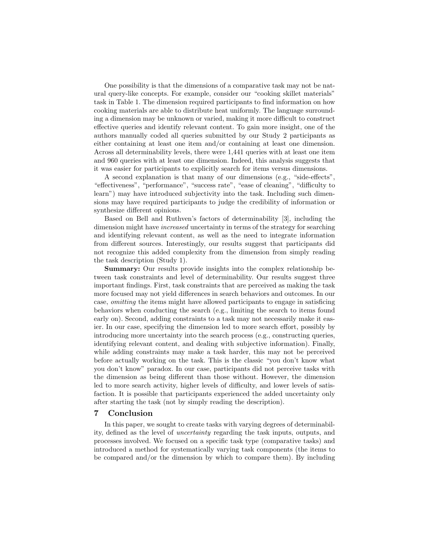One possibility is that the dimensions of a comparative task may not be natural query-like concepts. For example, consider our "cooking skillet materials" task in Table 1. The dimension required participants to find information on how cooking materials are able to distribute heat uniformly. The language surrounding a dimension may be unknown or varied, making it more difficult to construct effective queries and identify relevant content. To gain more insight, one of the authors manually coded all queries submitted by our Study 2 participants as either containing at least one item and/or containing at least one dimension. Across all determinability levels, there were 1,441 queries with at least one item and 960 queries with at least one dimension. Indeed, this analysis suggests that it was easier for participants to explicitly search for items versus dimensions.

A second explanation is that many of our dimensions (e.g., "side-effects", "effectiveness", "performance", "success rate", "ease of cleaning", "difficulty to learn") may have introduced subjectivity into the task. Including such dimensions may have required participants to judge the credibility of information or synthesize different opinions.

Based on Bell and Ruthven's factors of determinability [3], including the dimension might have *increased* uncertainty in terms of the strategy for searching and identifying relevant content, as well as the need to integrate information from different sources. Interestingly, our results suggest that participants did not recognize this added complexity from the dimension from simply reading the task description (Study 1).

Summary: Our results provide insights into the complex relationship between task constraints and level of determinability. Our results suggest three important findings. First, task constraints that are perceived as making the task more focused may not yield differences in search behaviors and outcomes. In our case, omitting the items might have allowed participants to engage in satisficing behaviors when conducting the search (e.g., limiting the search to items found early on). Second, adding constraints to a task may not necessarily make it easier. In our case, specifying the dimension led to more search effort, possibly by introducing more uncertainty into the search process (e.g., constructing queries, identifying relevant content, and dealing with subjective information). Finally, while adding constraints may make a task harder, this may not be perceived before actually working on the task. This is the classic "you don't know what you don't know" paradox. In our case, participants did not perceive tasks with the dimension as being different than those without. However, the dimension led to more search activity, higher levels of difficulty, and lower levels of satisfaction. It is possible that participants experienced the added uncertainty only after starting the task (not by simply reading the description).

## 7 Conclusion

In this paper, we sought to create tasks with varying degrees of determinability, defined as the level of uncertainty regarding the task inputs, outputs, and processes involved. We focused on a specific task type (comparative tasks) and introduced a method for systematically varying task components (the items to be compared and/or the dimension by which to compare them). By including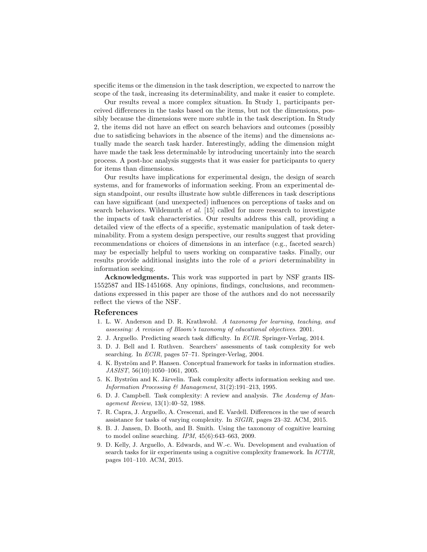specific items or the dimension in the task description, we expected to narrow the scope of the task, increasing its determinability, and make it easier to complete.

Our results reveal a more complex situation. In Study 1, participants perceived differences in the tasks based on the items, but not the dimensions, possibly because the dimensions were more subtle in the task description. In Study 2, the items did not have an effect on search behaviors and outcomes (possibly due to satisficing behaviors in the absence of the items) and the dimensions actually made the search task harder. Interestingly, adding the dimension might have made the task less determinable by introducing uncertainly into the search process. A post-hoc analysis suggests that it was easier for participants to query for items than dimensions.

Our results have implications for experimental design, the design of search systems, and for frameworks of information seeking. From an experimental design standpoint, our results illustrate how subtle differences in task descriptions can have significant (and unexpected) influences on perceptions of tasks and on search behaviors. Wildemuth et al. [15] called for more research to investigate the impacts of task characteristics. Our results address this call, providing a detailed view of the effects of a specific, systematic manipulation of task determinability. From a system design perspective, our results suggest that providing recommendations or choices of dimensions in an interface (e.g., faceted search) may be especially helpful to users working on comparative tasks. Finally, our results provide additional insights into the role of a priori determinability in information seeking.

Acknowledgments. This work was supported in part by NSF grants IIS-1552587 and IIS-1451668. Any opinions, findings, conclusions, and recommendations expressed in this paper are those of the authors and do not necessarily reflect the views of the NSF.

#### References

- 1. L. W. Anderson and D. R. Krathwohl. A taxonomy for learning, teaching, and assessing: A revision of Bloom's taxonomy of educational objectives. 2001.
- 2. J. Arguello. Predicting search task difficulty. In ECIR. Springer-Verlag, 2014.
- 3. D. J. Bell and I. Ruthven. Searchers' assessments of task complexity for web searching. In ECIR, pages 57–71. Springer-Verlag, 2004.
- 4. K. Byström and P. Hansen. Conceptual framework for tasks in information studies. JASIST, 56(10):1050–1061, 2005.
- 5. K. Byström and K. Järvelin. Task complexity affects information seeking and use. Information Processing & Management, 31(2):191–213, 1995.
- 6. D. J. Campbell. Task complexity: A review and analysis. The Academy of Management Review, 13(1):40–52, 1988.
- 7. R. Capra, J. Arguello, A. Crescenzi, and E. Vardell. Differences in the use of search assistance for tasks of varying complexity. In SIGIR, pages 23–32. ACM, 2015.
- 8. B. J. Jansen, D. Booth, and B. Smith. Using the taxonomy of cognitive learning to model online searching.  $IPM$ ,  $45(6):643-663$ , 2009.
- 9. D. Kelly, J. Arguello, A. Edwards, and W.-c. Wu. Development and evaluation of search tasks for iir experiments using a cognitive complexity framework. In ICTIR, pages 101–110. ACM, 2015.